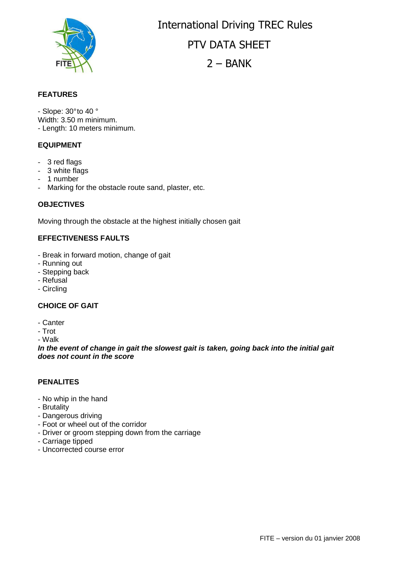

International Driving TREC Rules PTV DATA SHEET  $2 - BANK$ 

## **FEATURES**

- Slope: 30° to 40 ° Width: 3.50 m minimum. - Length: 10 meters minimum.

#### **EQUIPMENT**

- 3 red flags
- 3 white flags
- 1 number
- Marking for the obstacle route sand, plaster, etc.

#### **OBJECTIVES**

Moving through the obstacle at the highest initially chosen gait

### **EFFECTIVENESS FAULTS**

- Break in forward motion, change of gait
- Running out
- Stepping back
- Refusal
- Circling

## **CHOICE OF GAIT**

- Canter

- Trot

- Walk

**In the event of change in gait the slowest gait is taken, going back into the initial gait does not count in the score**

#### **PENALITES**

- No whip in the hand
- Brutality
- Dangerous driving
- Foot or wheel out of the corridor
- Driver or groom stepping down from the carriage
- Carriage tipped
- Uncorrected course error